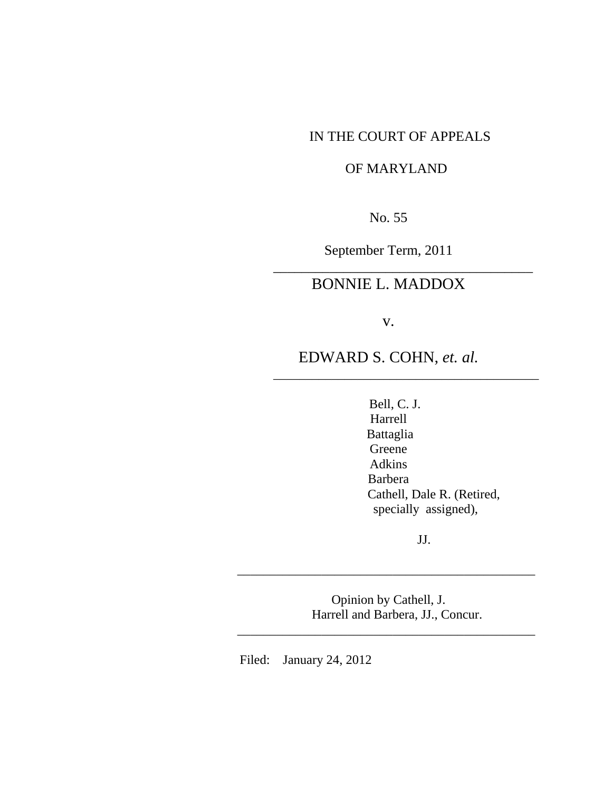## IN THE COURT OF APPEALS

# OF MARYLAND

No. 55

September Term, 2011

\_\_\_\_\_\_\_\_\_\_\_\_\_\_\_\_\_\_\_\_\_\_\_\_\_\_\_\_\_\_\_\_\_\_\_\_\_

# BONNIE L. MADDOX

v.

EDWARD S. COHN, *et. al.*

\_\_\_\_\_\_\_\_\_\_\_\_\_\_\_\_\_\_\_\_\_\_\_\_\_\_\_\_\_\_\_\_\_\_\_\_\_\_\_\_\_

 Bell, C. J. Harrell Battaglia Greene Adkins Barbera Cathell, Dale R. (Retired, specially assigned),

JJ.

 Opinion by Cathell, J. Harrell and Barbera, JJ., Concur.

\_\_\_\_\_\_\_\_\_\_\_\_\_\_\_\_\_\_\_\_\_\_\_\_\_\_\_\_\_\_\_\_\_\_\_\_\_\_\_\_\_\_\_\_\_\_

\_\_\_\_\_\_\_\_\_\_\_\_\_\_\_\_\_\_\_\_\_\_\_\_\_\_\_\_\_\_\_\_\_\_\_\_\_\_\_\_\_\_\_\_\_\_

Filed: January 24, 2012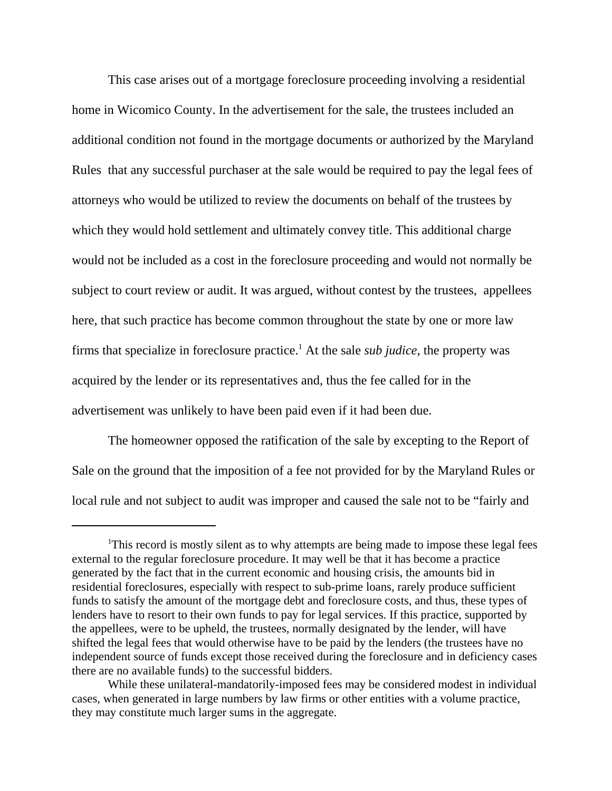This case arises out of a mortgage foreclosure proceeding involving a residential home in Wicomico County. In the advertisement for the sale, the trustees included an additional condition not found in the mortgage documents or authorized by the Maryland Rules that any successful purchaser at the sale would be required to pay the legal fees of attorneys who would be utilized to review the documents on behalf of the trustees by which they would hold settlement and ultimately convey title. This additional charge would not be included as a cost in the foreclosure proceeding and would not normally be subject to court review or audit. It was argued, without contest by the trustees, appellees here, that such practice has become common throughout the state by one or more law firms that specialize in foreclosure practice.<sup>1</sup> At the sale *sub judice*, the property was acquired by the lender or its representatives and, thus the fee called for in the advertisement was unlikely to have been paid even if it had been due.

The homeowner opposed the ratification of the sale by excepting to the Report of Sale on the ground that the imposition of a fee not provided for by the Maryland Rules or local rule and not subject to audit was improper and caused the sale not to be "fairly and

<sup>&</sup>lt;sup>1</sup>This record is mostly silent as to why attempts are being made to impose these legal fees external to the regular foreclosure procedure. It may well be that it has become a practice generated by the fact that in the current economic and housing crisis, the amounts bid in residential foreclosures, especially with respect to sub-prime loans, rarely produce sufficient funds to satisfy the amount of the mortgage debt and foreclosure costs, and thus, these types of lenders have to resort to their own funds to pay for legal services. If this practice, supported by the appellees, were to be upheld, the trustees, normally designated by the lender, will have shifted the legal fees that would otherwise have to be paid by the lenders (the trustees have no independent source of funds except those received during the foreclosure and in deficiency cases there are no available funds) to the successful bidders.

While these unilateral-mandatorily-imposed fees may be considered modest in individual cases, when generated in large numbers by law firms or other entities with a volume practice, they may constitute much larger sums in the aggregate.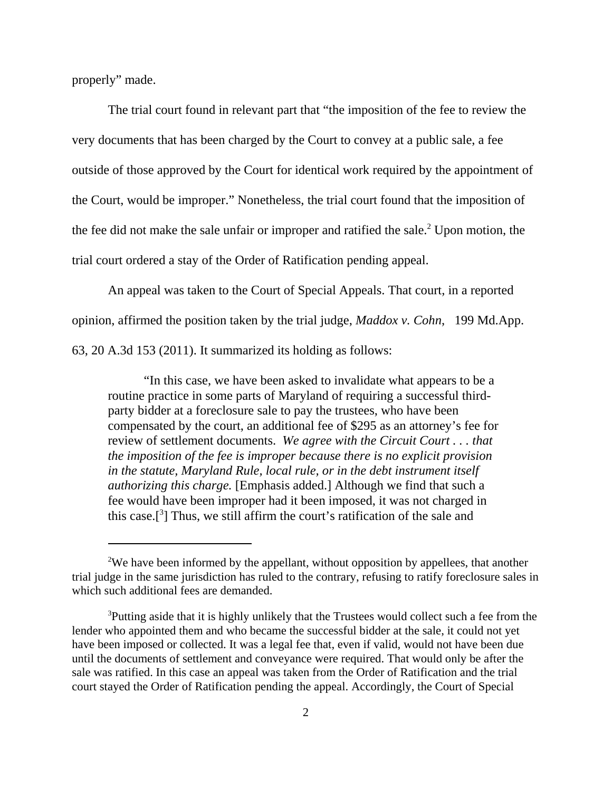properly" made.

The trial court found in relevant part that "the imposition of the fee to review the very documents that has been charged by the Court to convey at a public sale, a fee outside of those approved by the Court for identical work required by the appointment of the Court, would be improper." Nonetheless, the trial court found that the imposition of the fee did not make the sale unfair or improper and ratified the sale.<sup>2</sup> Upon motion, the trial court ordered a stay of the Order of Ratification pending appeal.

An appeal was taken to the Court of Special Appeals. That court, in a reported

opinion, affirmed the position taken by the trial judge, *Maddox v. Cohn*, 199 Md.App.

63, 20 A.3d 153 (2011). It summarized its holding as follows:

"In this case, we have been asked to invalidate what appears to be a routine practice in some parts of Maryland of requiring a successful thirdparty bidder at a foreclosure sale to pay the trustees, who have been compensated by the court, an additional fee of \$295 as an attorney's fee for review of settlement documents. *We agree with the Circuit Court . . . that the imposition of the fee is improper because there is no explicit provision in the statute, Maryland Rule, local rule, or in the debt instrument itself authorizing this charge.* [Emphasis added.] Although we find that such a fee would have been improper had it been imposed, it was not charged in this case.<sup>[3]</sup> Thus, we still affirm the court's ratification of the sale and

<sup>&</sup>lt;sup>2</sup>We have been informed by the appellant, without opposition by appellees, that another trial judge in the same jurisdiction has ruled to the contrary, refusing to ratify foreclosure sales in which such additional fees are demanded.

<sup>&</sup>lt;sup>3</sup>Putting aside that it is highly unlikely that the Trustees would collect such a fee from the lender who appointed them and who became the successful bidder at the sale, it could not yet have been imposed or collected. It was a legal fee that, even if valid, would not have been due until the documents of settlement and conveyance were required. That would only be after the sale was ratified. In this case an appeal was taken from the Order of Ratification and the trial court stayed the Order of Ratification pending the appeal. Accordingly, the Court of Special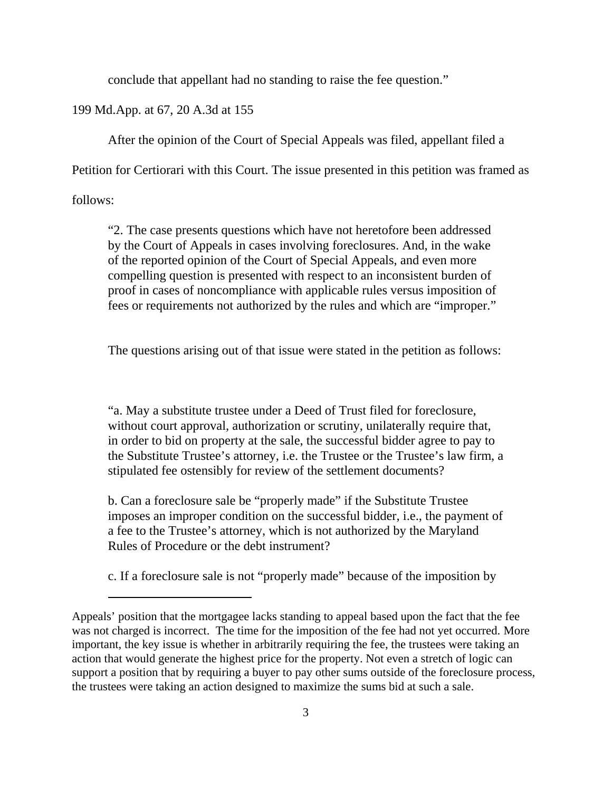conclude that appellant had no standing to raise the fee question."

199 Md.App. at 67, 20 A.3d at 155

After the opinion of the Court of Special Appeals was filed, appellant filed a

Petition for Certiorari with this Court. The issue presented in this petition was framed as

follows:

"2. The case presents questions which have not heretofore been addressed by the Court of Appeals in cases involving foreclosures. And, in the wake of the reported opinion of the Court of Special Appeals, and even more compelling question is presented with respect to an inconsistent burden of proof in cases of noncompliance with applicable rules versus imposition of fees or requirements not authorized by the rules and which are "improper."

The questions arising out of that issue were stated in the petition as follows:

"a. May a substitute trustee under a Deed of Trust filed for foreclosure, without court approval, authorization or scrutiny, unilaterally require that, in order to bid on property at the sale, the successful bidder agree to pay to the Substitute Trustee's attorney, i.e. the Trustee or the Trustee's law firm, a stipulated fee ostensibly for review of the settlement documents?

b. Can a foreclosure sale be "properly made" if the Substitute Trustee imposes an improper condition on the successful bidder, i.e., the payment of a fee to the Trustee's attorney, which is not authorized by the Maryland Rules of Procedure or the debt instrument?

c. If a foreclosure sale is not "properly made" because of the imposition by

Appeals' position that the mortgagee lacks standing to appeal based upon the fact that the fee was not charged is incorrect. The time for the imposition of the fee had not yet occurred. More important, the key issue is whether in arbitrarily requiring the fee, the trustees were taking an action that would generate the highest price for the property. Not even a stretch of logic can support a position that by requiring a buyer to pay other sums outside of the foreclosure process, the trustees were taking an action designed to maximize the sums bid at such a sale.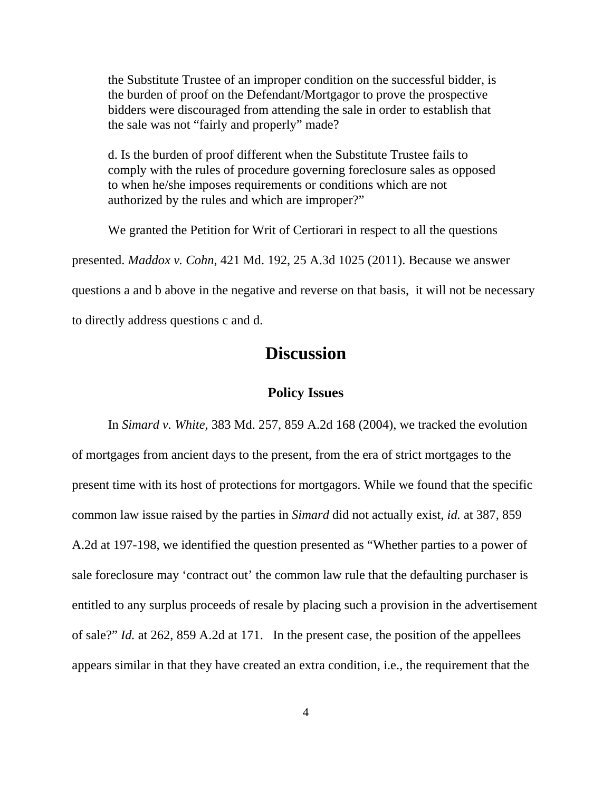the Substitute Trustee of an improper condition on the successful bidder, is the burden of proof on the Defendant/Mortgagor to prove the prospective bidders were discouraged from attending the sale in order to establish that the sale was not "fairly and properly" made?

d. Is the burden of proof different when the Substitute Trustee fails to comply with the rules of procedure governing foreclosure sales as opposed to when he/she imposes requirements or conditions which are not authorized by the rules and which are improper?"

We granted the Petition for Writ of Certiorari in respect to all the questions presented. *Maddox v. Cohn*, 421 Md. 192, 25 A.3d 1025 (2011). Because we answer questions a and b above in the negative and reverse on that basis, it will not be necessary to directly address questions c and d.

# **Discussion**

## **Policy Issues**

In *Simard v. White,* 383 Md. 257, 859 A.2d 168 (2004), we tracked the evolution of mortgages from ancient days to the present, from the era of strict mortgages to the present time with its host of protections for mortgagors. While we found that the specific common law issue raised by the parties in *Simard* did not actually exist, *id.* at 387, 859 A.2d at 197-198, we identified the question presented as "Whether parties to a power of sale foreclosure may 'contract out' the common law rule that the defaulting purchaser is entitled to any surplus proceeds of resale by placing such a provision in the advertisement of sale?" *Id.* at 262, 859 A.2d at 171. In the present case, the position of the appellees appears similar in that they have created an extra condition, i.e., the requirement that the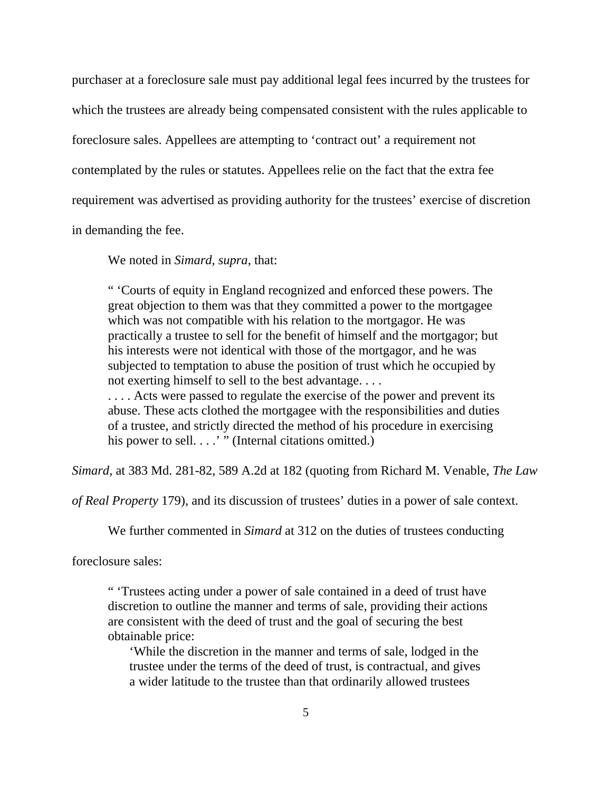purchaser at a foreclosure sale must pay additional legal fees incurred by the trustees for which the trustees are already being compensated consistent with the rules applicable to foreclosure sales. Appellees are attempting to 'contract out' a requirement not contemplated by the rules or statutes. Appellees relie on the fact that the extra fee requirement was advertised as providing authority for the trustees' exercise of discretion in demanding the fee.

We noted in *Simard, supra*, that:

" 'Courts of equity in England recognized and enforced these powers. The great objection to them was that they committed a power to the mortgagee which was not compatible with his relation to the mortgagor. He was practically a trustee to sell for the benefit of himself and the mortgagor; but his interests were not identical with those of the mortgagor, and he was subjected to temptation to abuse the position of trust which he occupied by not exerting himself to sell to the best advantage. . . .

.... Acts were passed to regulate the exercise of the power and prevent its abuse. These acts clothed the mortgagee with the responsibilities and duties of a trustee, and strictly directed the method of his procedure in exercising his power to sell. . . . " (Internal citations omitted.)

*Simard,* at 383 Md. 281-82, 589 A.2d at 182 (quoting from Richard M. Venable, *The Law*

*of Real Property* 179), and its discussion of trustees' duties in a power of sale context.

We further commented in *Simard* at 312 on the duties of trustees conducting

foreclosure sales:

" 'Trustees acting under a power of sale contained in a deed of trust have discretion to outline the manner and terms of sale, providing their actions are consistent with the deed of trust and the goal of securing the best obtainable price:

'While the discretion in the manner and terms of sale, lodged in the trustee under the terms of the deed of trust, is contractual, and gives a wider latitude to the trustee than that ordinarily allowed trustees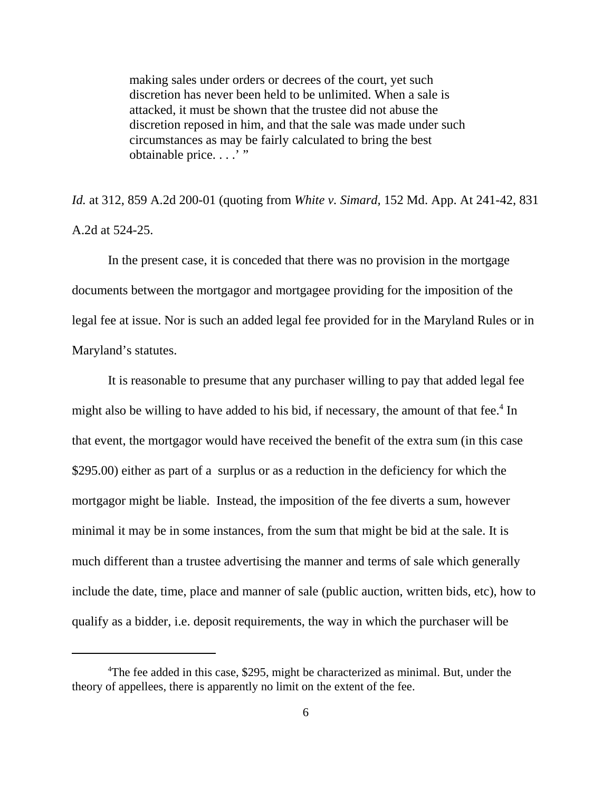making sales under orders or decrees of the court, yet such discretion has never been held to be unlimited. When a sale is attacked, it must be shown that the trustee did not abuse the discretion reposed in him, and that the sale was made under such circumstances as may be fairly calculated to bring the best obtainable price....'"

*Id.* at 312, 859 A.2d 200-01 (quoting from *White v. Simard,* 152 Md. App. At 241-42, 831 A.2d at 524-25.

In the present case, it is conceded that there was no provision in the mortgage documents between the mortgagor and mortgagee providing for the imposition of the legal fee at issue. Nor is such an added legal fee provided for in the Maryland Rules or in Maryland's statutes.

It is reasonable to presume that any purchaser willing to pay that added legal fee might also be willing to have added to his bid, if necessary, the amount of that fee.<sup>4</sup> In that event, the mortgagor would have received the benefit of the extra sum (in this case \$295.00) either as part of a surplus or as a reduction in the deficiency for which the mortgagor might be liable. Instead, the imposition of the fee diverts a sum, however minimal it may be in some instances, from the sum that might be bid at the sale. It is much different than a trustee advertising the manner and terms of sale which generally include the date, time, place and manner of sale (public auction, written bids, etc), how to qualify as a bidder, i.e. deposit requirements, the way in which the purchaser will be

<sup>&</sup>lt;sup>4</sup>The fee added in this case, \$295, might be characterized as minimal. But, under the theory of appellees, there is apparently no limit on the extent of the fee.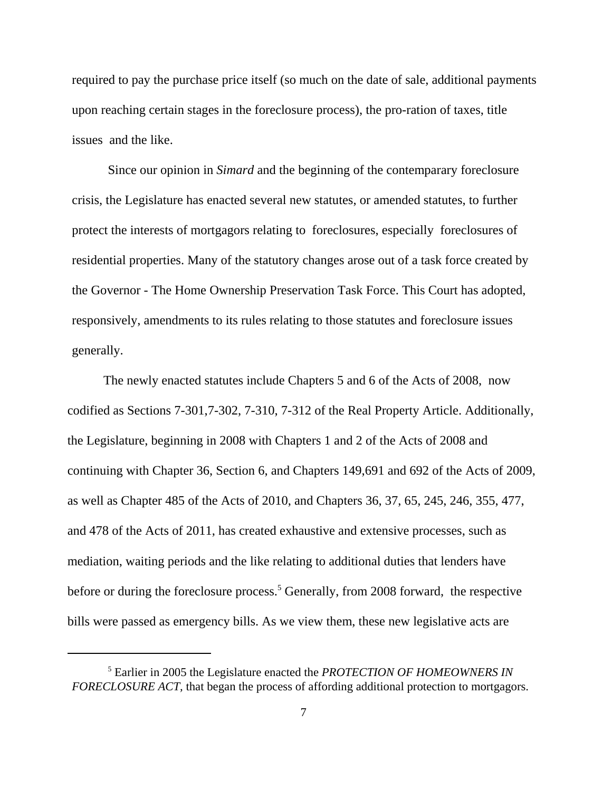required to pay the purchase price itself (so much on the date of sale, additional payments upon reaching certain stages in the foreclosure process), the pro-ration of taxes, title issues and the like.

Since our opinion in *Simard* and the beginning of the contemparary foreclosure crisis, the Legislature has enacted several new statutes, or amended statutes, to further protect the interests of mortgagors relating to foreclosures, especially foreclosures of residential properties. Many of the statutory changes arose out of a task force created by the Governor - The Home Ownership Preservation Task Force. This Court has adopted, responsively, amendments to its rules relating to those statutes and foreclosure issues generally.

The newly enacted statutes include Chapters 5 and 6 of the Acts of 2008, now codified as Sections 7-301,7-302, 7-310, 7-312 of the Real Property Article. Additionally, the Legislature, beginning in 2008 with Chapters 1 and 2 of the Acts of 2008 and continuing with Chapter 36, Section 6, and Chapters 149,691 and 692 of the Acts of 2009, as well as Chapter 485 of the Acts of 2010, and Chapters 36, 37, 65, 245, 246, 355, 477, and 478 of the Acts of 2011, has created exhaustive and extensive processes, such as mediation, waiting periods and the like relating to additional duties that lenders have before or during the foreclosure process.<sup>5</sup> Generally, from 2008 forward, the respective bills were passed as emergency bills. As we view them, these new legislative acts are

<sup>5</sup> Earlier in 2005 the Legislature enacted the *PROTECTION OF HOMEOWNERS IN FORECLOSURE ACT,* that began the process of affording additional protection to mortgagors.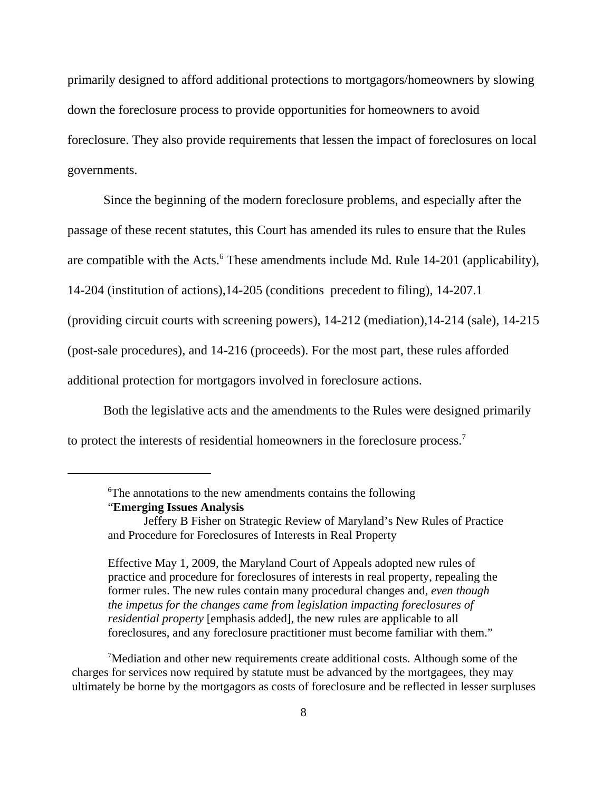primarily designed to afford additional protections to mortgagors/homeowners by slowing down the foreclosure process to provide opportunities for homeowners to avoid foreclosure. They also provide requirements that lessen the impact of foreclosures on local governments.

Since the beginning of the modern foreclosure problems, and especially after the passage of these recent statutes, this Court has amended its rules to ensure that the Rules are compatible with the Acts.<sup>6</sup> These amendments include Md. Rule 14-201 (applicability), 14-204 (institution of actions),14-205 (conditions precedent to filing), 14-207.1 (providing circuit courts with screening powers), 14-212 (mediation),14-214 (sale), 14-215 (post-sale procedures), and 14-216 (proceeds). For the most part, these rules afforded additional protection for mortgagors involved in foreclosure actions.

Both the legislative acts and the amendments to the Rules were designed primarily to protect the interests of residential homeowners in the foreclosure process.<sup>7</sup>

Effective May 1, 2009, the Maryland Court of Appeals adopted new rules of practice and procedure for foreclosures of interests in real property, repealing the former rules. The new rules contain many procedural changes and, *even though the impetus for the changes came from legislation impacting foreclosures of residential property* [emphasis added], the new rules are applicable to all foreclosures, and any foreclosure practitioner must become familiar with them."

<sup>7</sup>Mediation and other new requirements create additional costs. Although some of the charges for services now required by statute must be advanced by the mortgagees, they may ultimately be borne by the mortgagors as costs of foreclosure and be reflected in lesser surpluses

<sup>&</sup>lt;sup>6</sup>The annotations to the new amendments contains the following "**Emerging Issues Analysis**

Jeffery B Fisher on Strategic Review of Maryland's New Rules of Practice and Procedure for Foreclosures of Interests in Real Property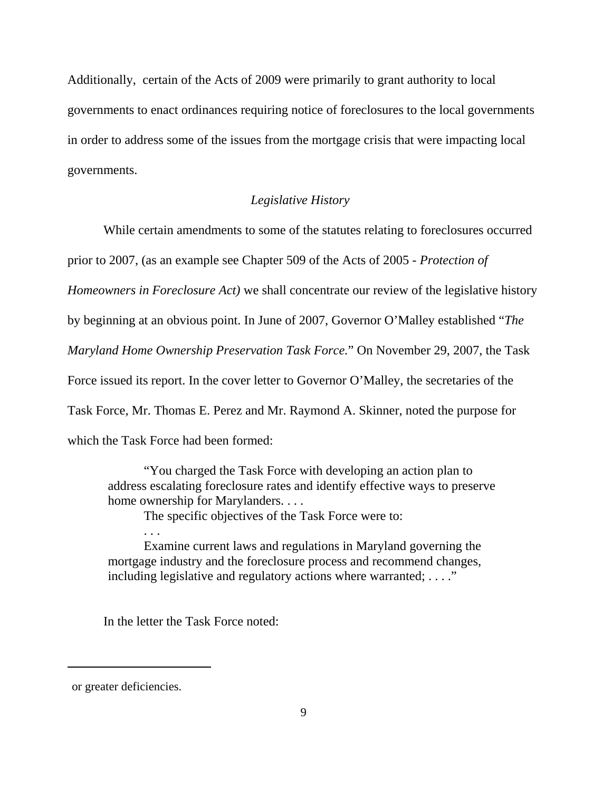Additionally, certain of the Acts of 2009 were primarily to grant authority to local governments to enact ordinances requiring notice of foreclosures to the local governments in order to address some of the issues from the mortgage crisis that were impacting local governments.

### *Legislative History*

While certain amendments to some of the statutes relating to foreclosures occurred prior to 2007, (as an example see Chapter 509 of the Acts of 2005 - *Protection of Homeowners in Foreclosure Act)* we shall concentrate our review of the legislative history by beginning at an obvious point. In June of 2007, Governor O'Malley established "*The Maryland Home Ownership Preservation Task Force.*" On November 29, 2007, the Task Force issued its report. In the cover letter to Governor O'Malley, the secretaries of the Task Force, Mr. Thomas E. Perez and Mr. Raymond A. Skinner, noted the purpose for which the Task Force had been formed:

"You charged the Task Force with developing an action plan to address escalating foreclosure rates and identify effective ways to preserve home ownership for Marylanders. . . .

The specific objectives of the Task Force were to:

Examine current laws and regulations in Maryland governing the mortgage industry and the foreclosure process and recommend changes, including legislative and regulatory actions where warranted; ...."

In the letter the Task Force noted:

. . .

or greater deficiencies.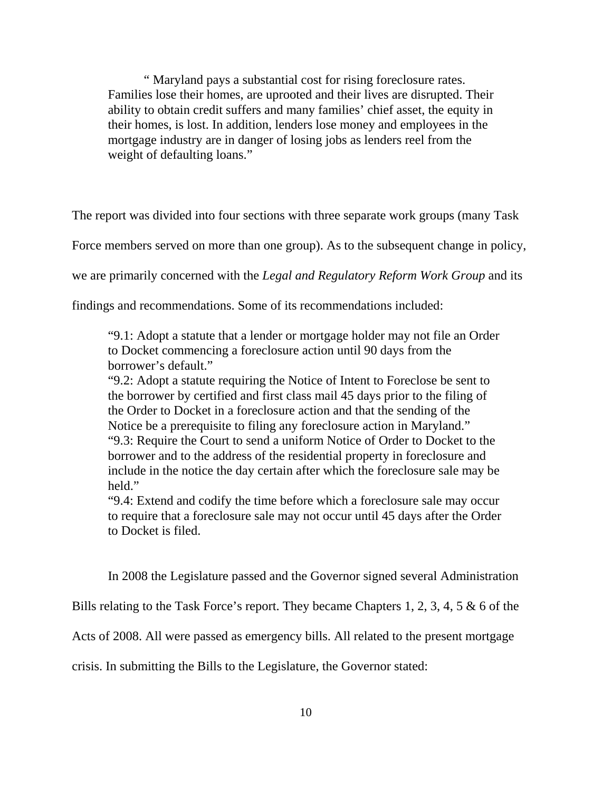" Maryland pays a substantial cost for rising foreclosure rates. Families lose their homes, are uprooted and their lives are disrupted. Their ability to obtain credit suffers and many families' chief asset, the equity in their homes, is lost. In addition, lenders lose money and employees in the mortgage industry are in danger of losing jobs as lenders reel from the weight of defaulting loans."

The report was divided into four sections with three separate work groups (many Task

Force members served on more than one group). As to the subsequent change in policy,

we are primarily concerned with the *Legal and Regulatory Reform Work Group* and its

findings and recommendations. Some of its recommendations included:

"9.1: Adopt a statute that a lender or mortgage holder may not file an Order to Docket commencing a foreclosure action until 90 days from the borrower's default."

"9.2: Adopt a statute requiring the Notice of Intent to Foreclose be sent to the borrower by certified and first class mail 45 days prior to the filing of the Order to Docket in a foreclosure action and that the sending of the Notice be a prerequisite to filing any foreclosure action in Maryland." "9.3: Require the Court to send a uniform Notice of Order to Docket to the borrower and to the address of the residential property in foreclosure and include in the notice the day certain after which the foreclosure sale may be held"

"9.4: Extend and codify the time before which a foreclosure sale may occur to require that a foreclosure sale may not occur until 45 days after the Order to Docket is filed.

In 2008 the Legislature passed and the Governor signed several Administration

Bills relating to the Task Force's report. They became Chapters 1, 2, 3, 4, 5 & 6 of the

Acts of 2008. All were passed as emergency bills. All related to the present mortgage

crisis. In submitting the Bills to the Legislature, the Governor stated: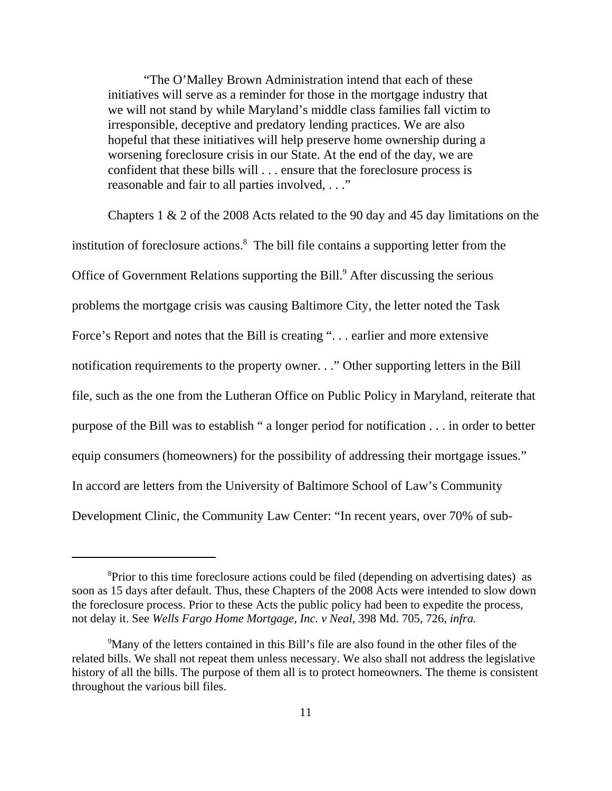"The O'Malley Brown Administration intend that each of these initiatives will serve as a reminder for those in the mortgage industry that we will not stand by while Maryland's middle class families fall victim to irresponsible, deceptive and predatory lending practices. We are also hopeful that these initiatives will help preserve home ownership during a worsening foreclosure crisis in our State. At the end of the day, we are confident that these bills will . . . ensure that the foreclosure process is reasonable and fair to all parties involved, . . ."

 Chapters 1 & 2 of the 2008 Acts related to the 90 day and 45 day limitations on the institution of foreclosure actions.<sup>8</sup> The bill file contains a supporting letter from the Office of Government Relations supporting the Bill.<sup>9</sup> After discussing the serious problems the mortgage crisis was causing Baltimore City, the letter noted the Task Force's Report and notes that the Bill is creating ". . . earlier and more extensive notification requirements to the property owner. . ." Other supporting letters in the Bill file, such as the one from the Lutheran Office on Public Policy in Maryland, reiterate that purpose of the Bill was to establish " a longer period for notification . . . in order to better equip consumers (homeowners) for the possibility of addressing their mortgage issues." In accord are letters from the University of Baltimore School of Law's Community Development Clinic, the Community Law Center: "In recent years, over 70% of sub-

<sup>&</sup>lt;sup>8</sup>Prior to this time foreclosure actions could be filed (depending on advertising dates) as soon as 15 days after default. Thus, these Chapters of the 2008 Acts were intended to slow down the foreclosure process. Prior to these Acts the public policy had been to expedite the process, not delay it. See *Wells Fargo Home Mortgage, Inc. v Neal,* 398 Md. 705, 726, *infra.*

<sup>&</sup>lt;sup>9</sup>Many of the letters contained in this Bill's file are also found in the other files of the related bills. We shall not repeat them unless necessary. We also shall not address the legislative history of all the bills. The purpose of them all is to protect homeowners. The theme is consistent throughout the various bill files.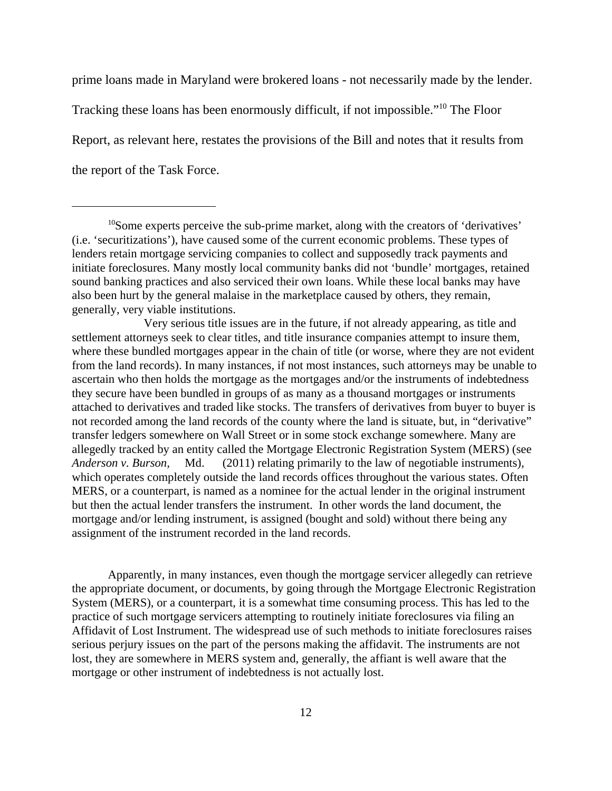prime loans made in Maryland were brokered loans - not necessarily made by the lender.

Tracking these loans has been enormously difficult, if not impossible."10 The Floor

Report, as relevant here, restates the provisions of the Bill and notes that it results from

the report of the Task Force.

Apparently, in many instances, even though the mortgage servicer allegedly can retrieve the appropriate document, or documents, by going through the Mortgage Electronic Registration System (MERS), or a counterpart, it is a somewhat time consuming process. This has led to the practice of such mortgage servicers attempting to routinely initiate foreclosures via filing an Affidavit of Lost Instrument. The widespread use of such methods to initiate foreclosures raises serious perjury issues on the part of the persons making the affidavit. The instruments are not lost, they are somewhere in MERS system and, generally, the affiant is well aware that the mortgage or other instrument of indebtedness is not actually lost.

 $10$ Some experts perceive the sub-prime market, along with the creators of 'derivatives' (i.e. 'securitizations'), have caused some of the current economic problems. These types of lenders retain mortgage servicing companies to collect and supposedly track payments and initiate foreclosures. Many mostly local community banks did not 'bundle' mortgages, retained sound banking practices and also serviced their own loans. While these local banks may have also been hurt by the general malaise in the marketplace caused by others, they remain, generally, very viable institutions.

Very serious title issues are in the future, if not already appearing, as title and settlement attorneys seek to clear titles, and title insurance companies attempt to insure them, where these bundled mortgages appear in the chain of title (or worse, where they are not evident from the land records). In many instances, if not most instances, such attorneys may be unable to ascertain who then holds the mortgage as the mortgages and/or the instruments of indebtedness they secure have been bundled in groups of as many as a thousand mortgages or instruments attached to derivatives and traded like stocks. The transfers of derivatives from buyer to buyer is not recorded among the land records of the county where the land is situate, but, in "derivative" transfer ledgers somewhere on Wall Street or in some stock exchange somewhere. Many are allegedly tracked by an entity called the Mortgage Electronic Registration System (MERS) (see *Anderson v. Burson,* Md. (2011) relating primarily to the law of negotiable instruments), which operates completely outside the land records offices throughout the various states. Often MERS, or a counterpart, is named as a nominee for the actual lender in the original instrument but then the actual lender transfers the instrument. In other words the land document, the mortgage and/or lending instrument, is assigned (bought and sold) without there being any assignment of the instrument recorded in the land records.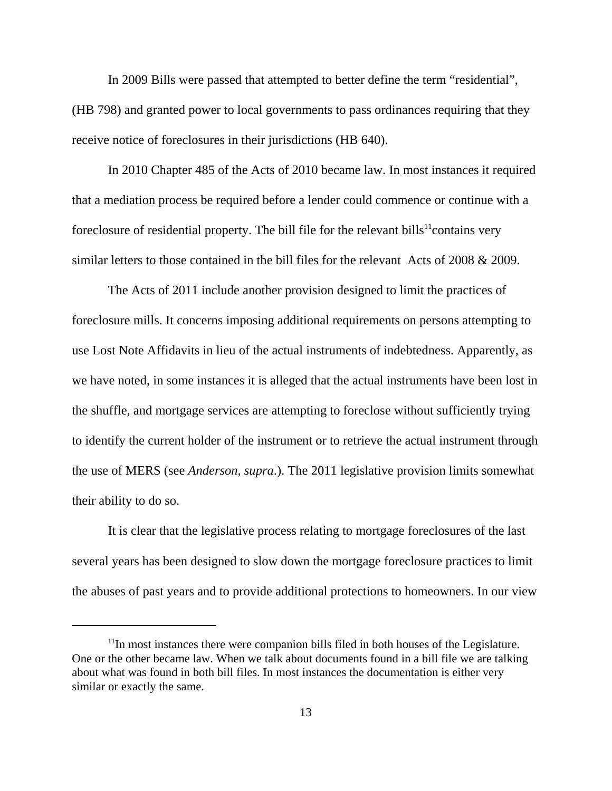In 2009 Bills were passed that attempted to better define the term "residential", (HB 798) and granted power to local governments to pass ordinances requiring that they receive notice of foreclosures in their jurisdictions (HB 640).

In 2010 Chapter 485 of the Acts of 2010 became law. In most instances it required that a mediation process be required before a lender could commence or continue with a foreclosure of residential property. The bill file for the relevant bills<sup>11</sup>contains very similar letters to those contained in the bill files for the relevant Acts of 2008 & 2009.

The Acts of 2011 include another provision designed to limit the practices of foreclosure mills. It concerns imposing additional requirements on persons attempting to use Lost Note Affidavits in lieu of the actual instruments of indebtedness. Apparently, as we have noted, in some instances it is alleged that the actual instruments have been lost in the shuffle, and mortgage services are attempting to foreclose without sufficiently trying to identify the current holder of the instrument or to retrieve the actual instrument through the use of MERS (see *Anderson, supra*.). The 2011 legislative provision limits somewhat their ability to do so.

 It is clear that the legislative process relating to mortgage foreclosures of the last several years has been designed to slow down the mortgage foreclosure practices to limit the abuses of past years and to provide additional protections to homeowners. In our view

 $11$ In most instances there were companion bills filed in both houses of the Legislature. One or the other became law. When we talk about documents found in a bill file we are talking about what was found in both bill files. In most instances the documentation is either very similar or exactly the same.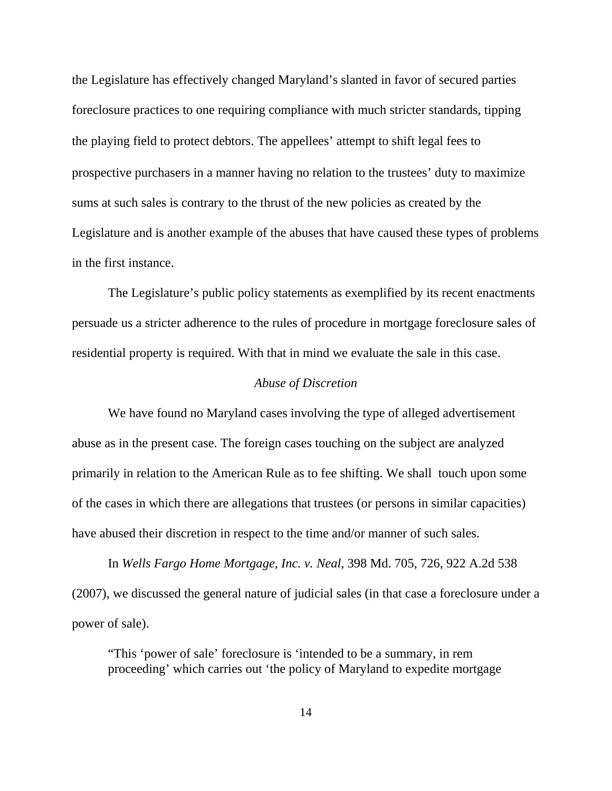the Legislature has effectively changed Maryland's slanted in favor of secured parties foreclosure practices to one requiring compliance with much stricter standards, tipping the playing field to protect debtors. The appellees' attempt to shift legal fees to prospective purchasers in a manner having no relation to the trustees' duty to maximize sums at such sales is contrary to the thrust of the new policies as created by the Legislature and is another example of the abuses that have caused these types of problems in the first instance.

The Legislature's public policy statements as exemplified by its recent enactments persuade us a stricter adherence to the rules of procedure in mortgage foreclosure sales of residential property is required. With that in mind we evaluate the sale in this case.

#### *Abuse of Discretion*

We have found no Maryland cases involving the type of alleged advertisement abuse as in the present case. The foreign cases touching on the subject are analyzed primarily in relation to the American Rule as to fee shifting. We shall touch upon some of the cases in which there are allegations that trustees (or persons in similar capacities) have abused their discretion in respect to the time and/or manner of such sales.

In *Wells Fargo Home Mortgage, Inc. v. Neal*, 398 Md. 705, 726, 922 A.2d 538 (2007), we discussed the general nature of judicial sales (in that case a foreclosure under a power of sale).

"This 'power of sale' foreclosure is 'intended to be a summary, in rem proceeding' which carries out 'the policy of Maryland to expedite mortgage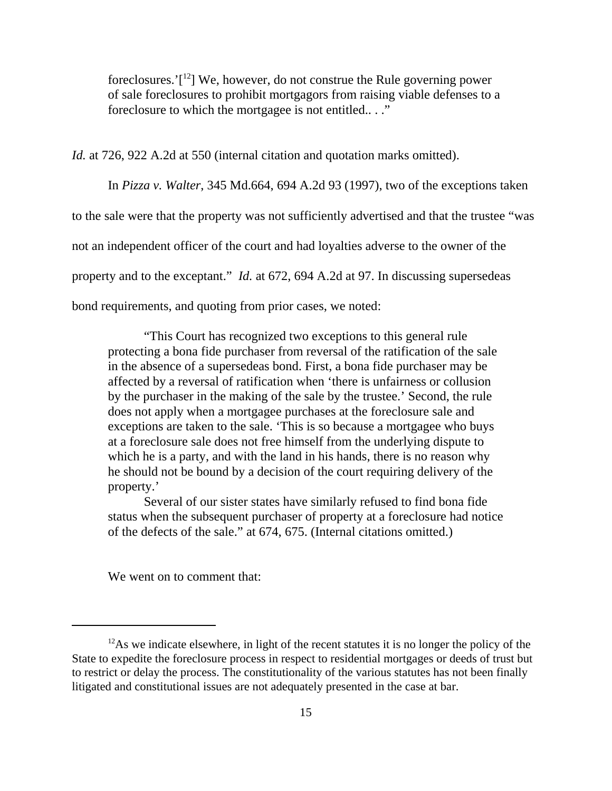foreclosures.' $[1^2]$  We, however, do not construe the Rule governing power of sale foreclosures to prohibit mortgagors from raising viable defenses to a foreclosure to which the mortgagee is not entitled.. . ."

*Id.* at 726, 922 A.2d at 550 (internal citation and quotation marks omitted).

In *Pizza v. Walter*, 345 Md.664, 694 A.2d 93 (1997), two of the exceptions taken to the sale were that the property was not sufficiently advertised and that the trustee "was not an independent officer of the court and had loyalties adverse to the owner of the property and to the exceptant." *Id.* at 672, 694 A.2d at 97. In discussing supersedeas bond requirements, and quoting from prior cases, we noted:

"This Court has recognized two exceptions to this general rule protecting a bona fide purchaser from reversal of the ratification of the sale in the absence of a supersedeas bond. First, a bona fide purchaser may be affected by a reversal of ratification when 'there is unfairness or collusion by the purchaser in the making of the sale by the trustee.' Second, the rule does not apply when a mortgagee purchases at the foreclosure sale and exceptions are taken to the sale. 'This is so because a mortgagee who buys at a foreclosure sale does not free himself from the underlying dispute to which he is a party, and with the land in his hands, there is no reason why he should not be bound by a decision of the court requiring delivery of the property.'

Several of our sister states have similarly refused to find bona fide status when the subsequent purchaser of property at a foreclosure had notice of the defects of the sale." at 674, 675. (Internal citations omitted.)

We went on to comment that:

 $12$ As we indicate elsewhere, in light of the recent statutes it is no longer the policy of the State to expedite the foreclosure process in respect to residential mortgages or deeds of trust but to restrict or delay the process. The constitutionality of the various statutes has not been finally litigated and constitutional issues are not adequately presented in the case at bar.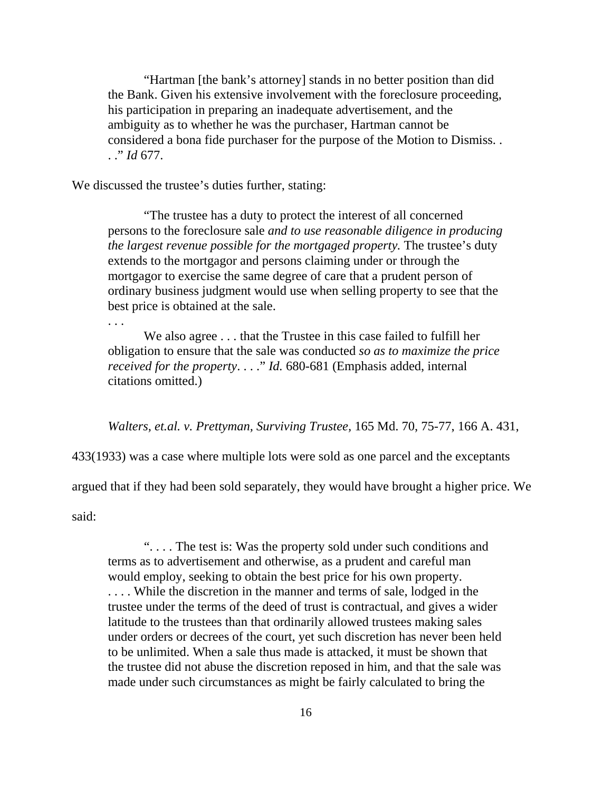"Hartman [the bank's attorney] stands in no better position than did the Bank. Given his extensive involvement with the foreclosure proceeding, his participation in preparing an inadequate advertisement, and the ambiguity as to whether he was the purchaser, Hartman cannot be considered a bona fide purchaser for the purpose of the Motion to Dismiss. . . ." *Id* 677.

We discussed the trustee's duties further, stating:

"The trustee has a duty to protect the interest of all concerned persons to the foreclosure sale *and to use reasonable diligence in producing the largest revenue possible for the mortgaged property.* The trustee's duty extends to the mortgagor and persons claiming under or through the mortgagor to exercise the same degree of care that a prudent person of ordinary business judgment would use when selling property to see that the best price is obtained at the sale.

We also agree . . . that the Trustee in this case failed to fulfill her obligation to ensure that the sale was conducted *so as to maximize the price received for the property*. . . ." *Id.* 680-681 (Emphasis added, internal citations omitted.)

*Walters, et.al. v. Prettyman, Surviving Trustee,* 165 Md. 70, 75-77, 166 A. 431,

433(1933) was a case where multiple lots were sold as one parcel and the exceptants

argued that if they had been sold separately, they would have brought a higher price. We

said:

. . .

". . . . The test is: Was the property sold under such conditions and terms as to advertisement and otherwise, as a prudent and careful man would employ, seeking to obtain the best price for his own property.

. . . . While the discretion in the manner and terms of sale, lodged in the trustee under the terms of the deed of trust is contractual, and gives a wider latitude to the trustees than that ordinarily allowed trustees making sales under orders or decrees of the court, yet such discretion has never been held to be unlimited. When a sale thus made is attacked, it must be shown that the trustee did not abuse the discretion reposed in him, and that the sale was made under such circumstances as might be fairly calculated to bring the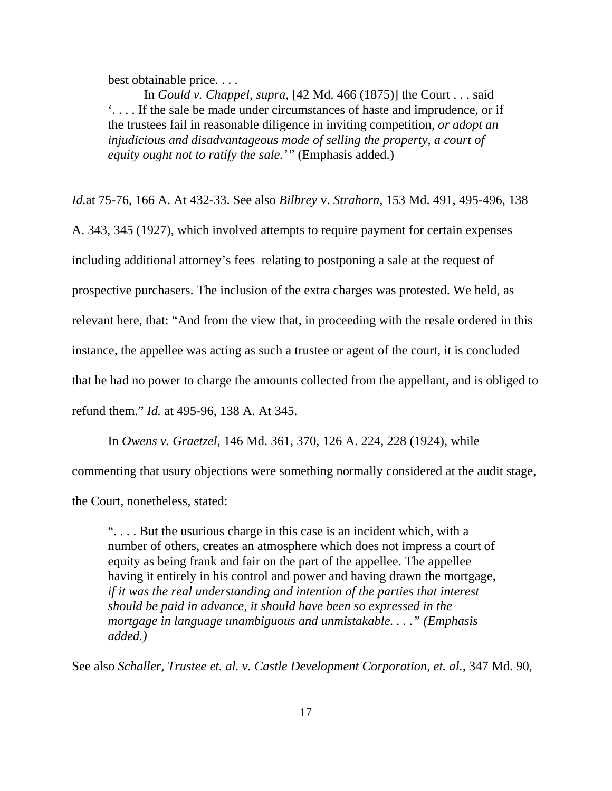best obtainable price. . . .

In *Gould v. Chappel, supra,* [42 Md. 466 (1875)] the Court . . . said '. . . . If the sale be made under circumstances of haste and imprudence, or if the trustees fail in reasonable diligence in inviting competition, *or adopt an injudicious and disadvantageous mode of selling the property, a court of equity ought not to ratify the sale.'"* (Emphasis added.)

*Id.*at 75-76, 166 A. At 432-33. See also *Bilbrey* v. *Strahorn,* 153 Md. 491, 495-496, 138

A. 343, 345 (1927), which involved attempts to require payment for certain expenses

including additional attorney's fees relating to postponing a sale at the request of

prospective purchasers. The inclusion of the extra charges was protested. We held, as

relevant here, that: "And from the view that, in proceeding with the resale ordered in this

instance, the appellee was acting as such a trustee or agent of the court, it is concluded

that he had no power to charge the amounts collected from the appellant, and is obliged to

refund them." *Id.* at 495-96, 138 A. At 345.

In *Owens v. Graetzel,* 146 Md. 361, 370, 126 A. 224, 228 (1924), while

commenting that usury objections were something normally considered at the audit stage,

the Court, nonetheless, stated:

". . . . But the usurious charge in this case is an incident which, with a number of others, creates an atmosphere which does not impress a court of equity as being frank and fair on the part of the appellee. The appellee having it entirely in his control and power and having drawn the mortgage, *if it was the real understanding and intention of the parties that interest should be paid in advance, it should have been so expressed in the mortgage in language unambiguous and unmistakable. . . ." (Emphasis added.)* 

See also *Schaller, Trustee et. al. v. Castle Development Corporation, et. al.,* 347 Md. 90,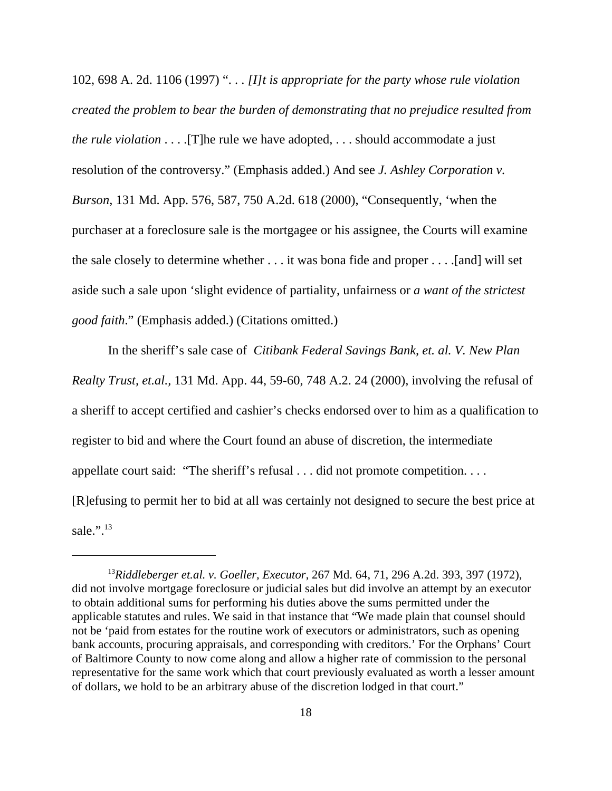102, 698 A. 2d. 1106 (1997) ". . . *[I]t is appropriate for the party whose rule violation created the problem to bear the burden of demonstrating that no prejudice resulted from the rule violation* . . . . [T]he rule we have adopted, . . . should accommodate a just resolution of the controversy." (Emphasis added.) And see *J. Ashley Corporation v. Burson,* 131 Md. App. 576, 587, 750 A.2d. 618 (2000), "Consequently, 'when the purchaser at a foreclosure sale is the mortgagee or his assignee, the Courts will examine the sale closely to determine whether . . . it was bona fide and proper . . . .[and] will set aside such a sale upon 'slight evidence of partiality, unfairness or *a want of the strictest good faith*." (Emphasis added.) (Citations omitted.)

In the sheriff's sale case of *Citibank Federal Savings Bank, et. al. V. New Plan Realty Trust, et.al.,* 131 Md. App. 44, 59-60, 748 A.2. 24 (2000), involving the refusal of a sheriff to accept certified and cashier's checks endorsed over to him as a qualification to register to bid and where the Court found an abuse of discretion, the intermediate appellate court said: "The sheriff's refusal . . . did not promote competition. . . . [R]efusing to permit her to bid at all was certainly not designed to secure the best price at sale.".13

<sup>13</sup>*Riddleberger et.al. v. Goeller, Executor*, 267 Md. 64, 71, 296 A.2d. 393, 397 (1972), did not involve mortgage foreclosure or judicial sales but did involve an attempt by an executor to obtain additional sums for performing his duties above the sums permitted under the applicable statutes and rules. We said in that instance that "We made plain that counsel should not be 'paid from estates for the routine work of executors or administrators, such as opening bank accounts, procuring appraisals, and corresponding with creditors.' For the Orphans' Court of Baltimore County to now come along and allow a higher rate of commission to the personal representative for the same work which that court previously evaluated as worth a lesser amount of dollars, we hold to be an arbitrary abuse of the discretion lodged in that court."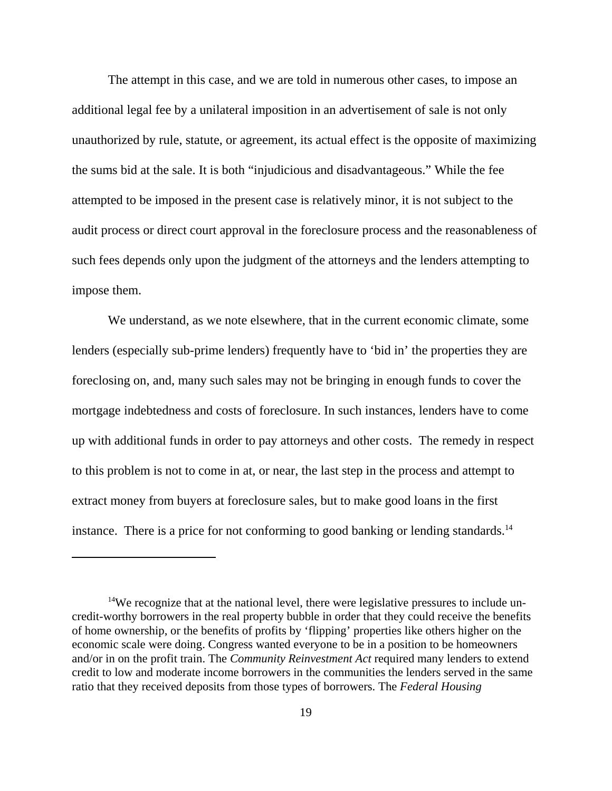The attempt in this case, and we are told in numerous other cases, to impose an additional legal fee by a unilateral imposition in an advertisement of sale is not only unauthorized by rule, statute, or agreement, its actual effect is the opposite of maximizing the sums bid at the sale. It is both "injudicious and disadvantageous." While the fee attempted to be imposed in the present case is relatively minor, it is not subject to the audit process or direct court approval in the foreclosure process and the reasonableness of such fees depends only upon the judgment of the attorneys and the lenders attempting to impose them.

We understand, as we note elsewhere, that in the current economic climate, some lenders (especially sub-prime lenders) frequently have to 'bid in' the properties they are foreclosing on, and, many such sales may not be bringing in enough funds to cover the mortgage indebtedness and costs of foreclosure. In such instances, lenders have to come up with additional funds in order to pay attorneys and other costs. The remedy in respect to this problem is not to come in at, or near, the last step in the process and attempt to extract money from buyers at foreclosure sales, but to make good loans in the first instance. There is a price for not conforming to good banking or lending standards.<sup>14</sup>

<sup>&</sup>lt;sup>14</sup>We recognize that at the national level, there were legislative pressures to include uncredit-worthy borrowers in the real property bubble in order that they could receive the benefits of home ownership, or the benefits of profits by 'flipping' properties like others higher on the economic scale were doing. Congress wanted everyone to be in a position to be homeowners and/or in on the profit train. The *Community Reinvestment Act* required many lenders to extend credit to low and moderate income borrowers in the communities the lenders served in the same ratio that they received deposits from those types of borrowers. The *Federal Housing*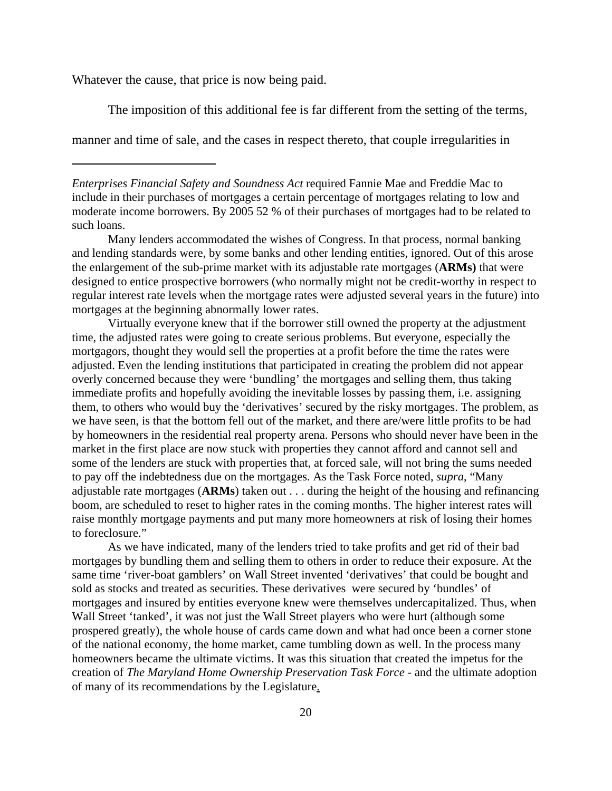Whatever the cause, that price is now being paid.

The imposition of this additional fee is far different from the setting of the terms,

manner and time of sale, and the cases in respect thereto, that couple irregularities in

*Enterprises Financial Safety and Soundness Act* required Fannie Mae and Freddie Mac to include in their purchases of mortgages a certain percentage of mortgages relating to low and moderate income borrowers. By 2005 52 % of their purchases of mortgages had to be related to such loans.

Many lenders accommodated the wishes of Congress. In that process, normal banking and lending standards were, by some banks and other lending entities, ignored. Out of this arose the enlargement of the sub-prime market with its adjustable rate mortgages (**ARMs)** that were designed to entice prospective borrowers (who normally might not be credit-worthy in respect to regular interest rate levels when the mortgage rates were adjusted several years in the future) into mortgages at the beginning abnormally lower rates.

Virtually everyone knew that if the borrower still owned the property at the adjustment time, the adjusted rates were going to create serious problems. But everyone, especially the mortgagors, thought they would sell the properties at a profit before the time the rates were adjusted. Even the lending institutions that participated in creating the problem did not appear overly concerned because they were 'bundling' the mortgages and selling them, thus taking immediate profits and hopefully avoiding the inevitable losses by passing them, i.e. assigning them, to others who would buy the 'derivatives' secured by the risky mortgages. The problem, as we have seen, is that the bottom fell out of the market, and there are/were little profits to be had by homeowners in the residential real property arena. Persons who should never have been in the market in the first place are now stuck with properties they cannot afford and cannot sell and some of the lenders are stuck with properties that, at forced sale, will not bring the sums needed to pay off the indebtedness due on the mortgages. As the Task Force noted, *supra*, "Many adjustable rate mortgages (**ARMs**) taken out . . . during the height of the housing and refinancing boom, are scheduled to reset to higher rates in the coming months. The higher interest rates will raise monthly mortgage payments and put many more homeowners at risk of losing their homes to foreclosure."

As we have indicated, many of the lenders tried to take profits and get rid of their bad mortgages by bundling them and selling them to others in order to reduce their exposure. At the same time 'river-boat gamblers' on Wall Street invented 'derivatives' that could be bought and sold as stocks and treated as securities. These derivatives were secured by 'bundles' of mortgages and insured by entities everyone knew were themselves undercapitalized. Thus, when Wall Street 'tanked', it was not just the Wall Street players who were hurt (although some prospered greatly), the whole house of cards came down and what had once been a corner stone of the national economy, the home market, came tumbling down as well. In the process many homeowners became the ultimate victims. It was this situation that created the impetus for the creation of *The Maryland Home Ownership Preservation Task Force -* and the ultimate adoption of many of its recommendations by the Legislature.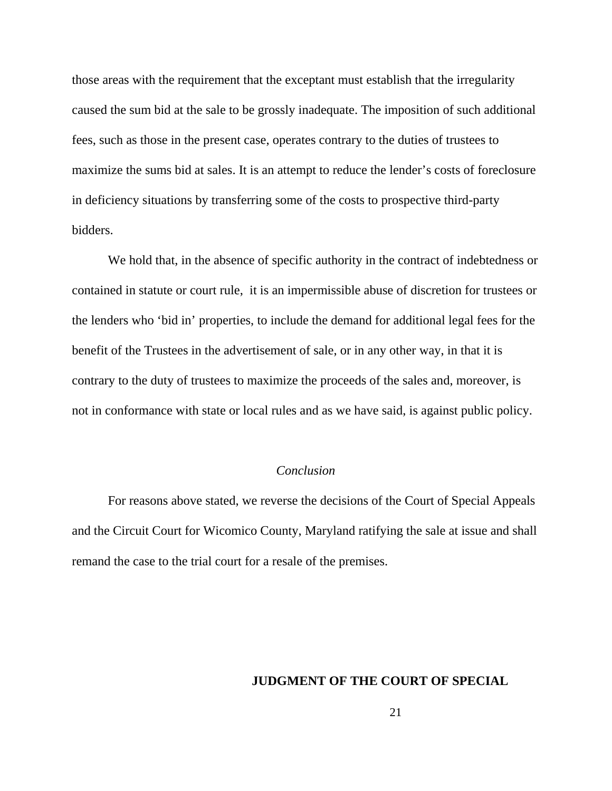those areas with the requirement that the exceptant must establish that the irregularity caused the sum bid at the sale to be grossly inadequate. The imposition of such additional fees, such as those in the present case, operates contrary to the duties of trustees to maximize the sums bid at sales. It is an attempt to reduce the lender's costs of foreclosure in deficiency situations by transferring some of the costs to prospective third-party bidders.

We hold that, in the absence of specific authority in the contract of indebtedness or contained in statute or court rule, it is an impermissible abuse of discretion for trustees or the lenders who 'bid in' properties, to include the demand for additional legal fees for the benefit of the Trustees in the advertisement of sale, or in any other way, in that it is contrary to the duty of trustees to maximize the proceeds of the sales and, moreover, is not in conformance with state or local rules and as we have said, is against public policy.

### *Conclusion*

For reasons above stated, we reverse the decisions of the Court of Special Appeals and the Circuit Court for Wicomico County, Maryland ratifying the sale at issue and shall remand the case to the trial court for a resale of the premises.

## **JUDGMENT OF THE COURT OF SPECIAL**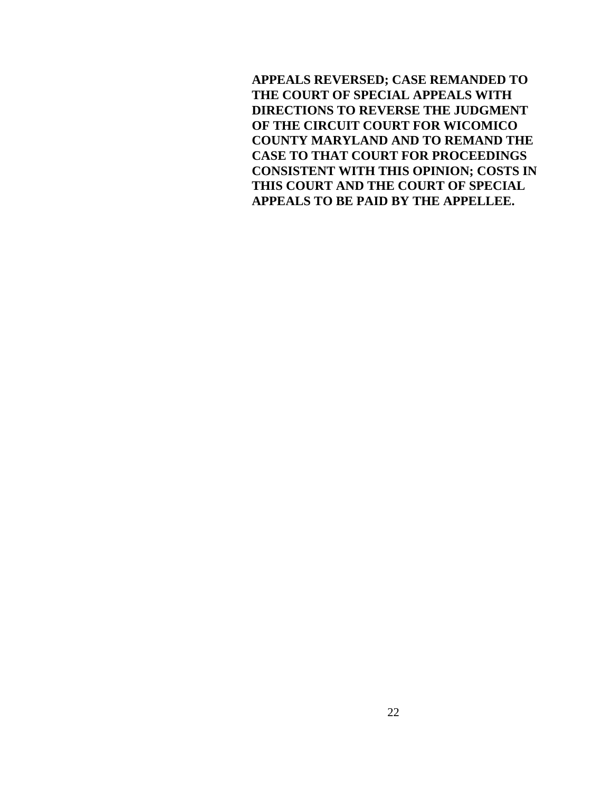**APPEALS REVERSED; CASE REMANDED TO THE COURT OF SPECIAL APPEALS WITH DIRECTIONS TO REVERSE THE JUDGMENT OF THE CIRCUIT COURT FOR WICOMICO COUNTY MARYLAND AND TO REMAND THE CASE TO THAT COURT FOR PROCEEDINGS CONSISTENT WITH THIS OPINION; COSTS IN THIS COURT AND THE COURT OF SPECIAL APPEALS TO BE PAID BY THE APPELLEE.**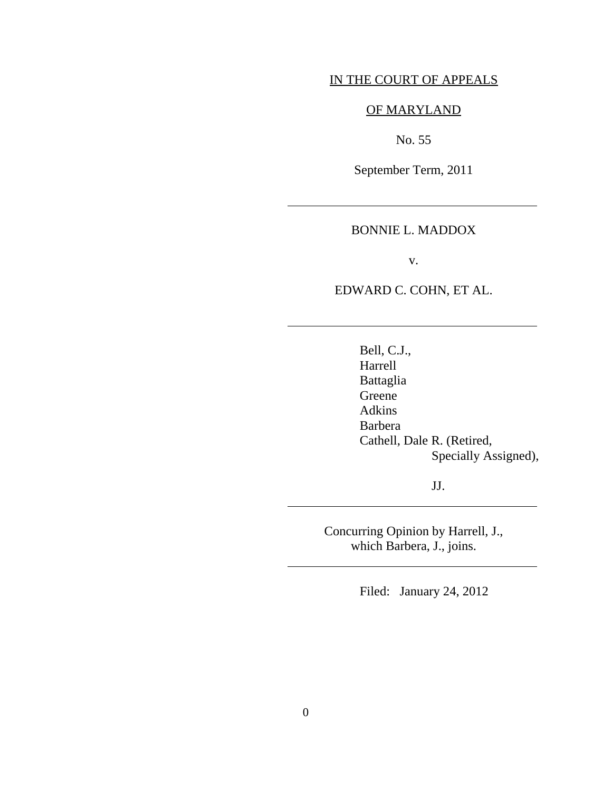## IN THE COURT OF APPEALS

## OF MARYLAND

No. 55

September Term, 2011

#### BONNIE L. MADDOX

v.

EDWARD C. COHN, ET AL.

 Bell, C.J., Harrell Battaglia Greene Adkins Barbera Cathell, Dale R. (Retired, Specially Assigned),

JJ.

Concurring Opinion by Harrell, J., which Barbera, J., joins.

Filed: January 24, 2012

 $\overline{a}$ 

 $\overline{a}$ 

l

 $\overline{a}$